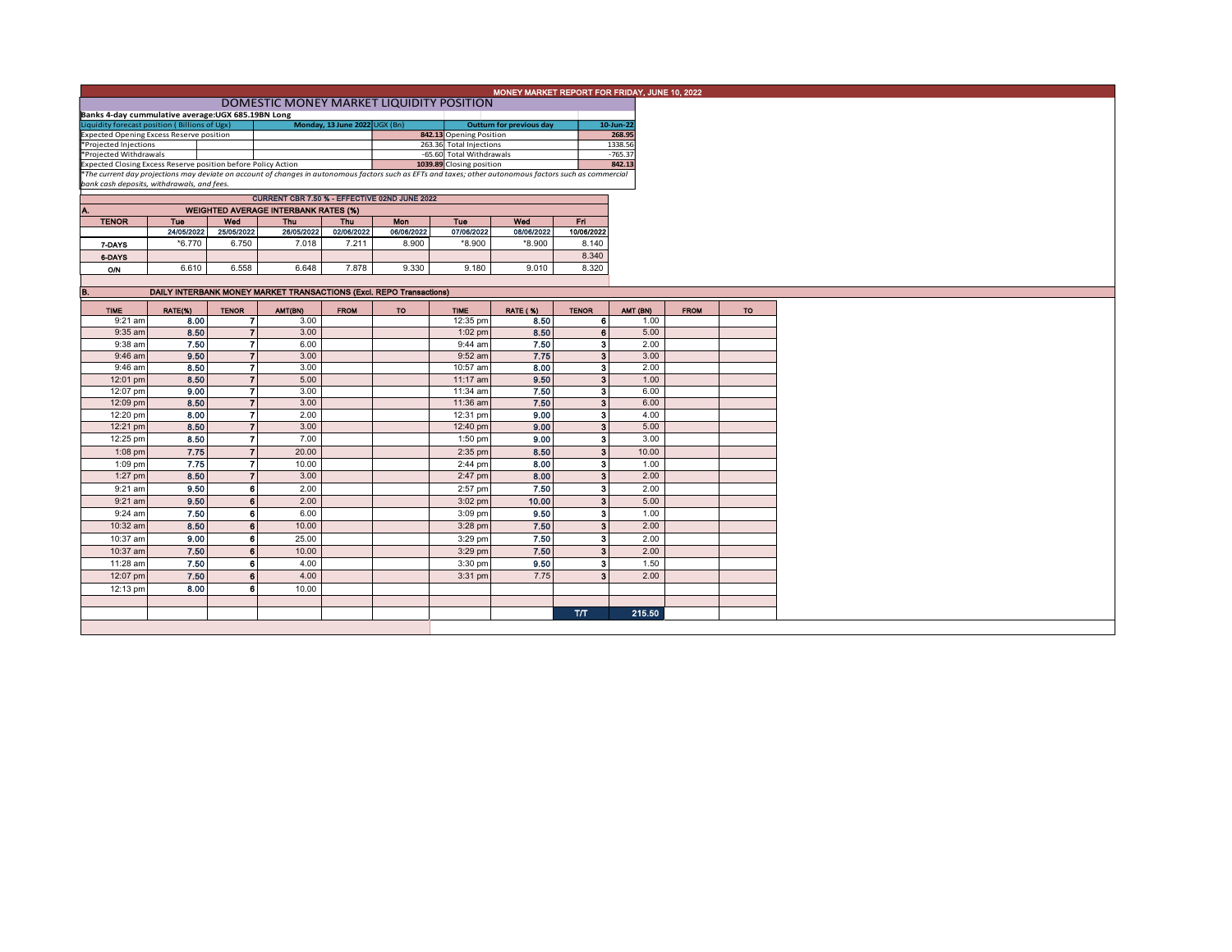|                                                                                                                                                                                                                                                 |                                                                     |                |                                             |             |                                               |                          | MONEY MARKET REPORT FOR FRIDAY, JUNE 10, 2022 |                         |           |             |     |
|-------------------------------------------------------------------------------------------------------------------------------------------------------------------------------------------------------------------------------------------------|---------------------------------------------------------------------|----------------|---------------------------------------------|-------------|-----------------------------------------------|--------------------------|-----------------------------------------------|-------------------------|-----------|-------------|-----|
|                                                                                                                                                                                                                                                 |                                                                     |                |                                             |             |                                               |                          |                                               |                         |           |             |     |
| DOMESTIC MONEY MARKET LIQUIDITY POSITION                                                                                                                                                                                                        |                                                                     |                |                                             |             |                                               |                          |                                               |                         |           |             |     |
| Banks 4-day cummulative average:UGX 685.19BN Long<br>Monday, 13 June 2022 UGX (Bn)<br>Liquidity forecast position (Billions of Ugx)<br><b>Outturn for previous day</b>                                                                          |                                                                     |                |                                             |             |                                               |                          |                                               |                         | 10-Jun-22 |             |     |
| <b>Expected Opening Excess Reserve position</b>                                                                                                                                                                                                 |                                                                     |                |                                             |             |                                               | 842.13 Opening Position  |                                               |                         | 268.95    |             |     |
| *Projected Injections                                                                                                                                                                                                                           |                                                                     |                |                                             |             |                                               | 263.36 Total Injections  |                                               |                         | 1338.56   |             |     |
|                                                                                                                                                                                                                                                 |                                                                     |                |                                             |             |                                               |                          |                                               |                         | $-765.37$ |             |     |
| *Projected Withdrawals                                                                                                                                                                                                                          |                                                                     |                |                                             |             |                                               | -65.60 Total Withdrawals |                                               |                         |           |             |     |
| Expected Closing Excess Reserve position before Policy Action <b>1039.89</b> Closing position <b>1039.89</b> Closing position <b>842.13</b><br>The current day projections may deviate on account of changes in autonomous factors such as EFTs |                                                                     |                |                                             |             |                                               |                          |                                               |                         | 842.13    |             |     |
|                                                                                                                                                                                                                                                 |                                                                     |                |                                             |             |                                               |                          |                                               |                         |           |             |     |
| bank cash deposits, withdrawals, and fees.                                                                                                                                                                                                      |                                                                     |                |                                             |             |                                               |                          |                                               |                         |           |             |     |
|                                                                                                                                                                                                                                                 |                                                                     |                |                                             |             | CURRENT CBR 7.50 % - EFFECTIVE 02ND JUNE 2022 |                          |                                               |                         |           |             |     |
| Α.                                                                                                                                                                                                                                              |                                                                     |                | <b>WEIGHTED AVERAGE INTERBANK RATES (%)</b> |             |                                               |                          |                                               |                         |           |             |     |
| <b>TENOR</b>                                                                                                                                                                                                                                    | Tue                                                                 | Wed            | <b>Thu</b>                                  | Thu         | Mon                                           | Tue                      | Wed                                           | Fri.                    |           |             |     |
|                                                                                                                                                                                                                                                 |                                                                     |                |                                             |             | 06/06/2022                                    | 07/06/2022               | 08/06/2022                                    | 10/06/2022              |           |             |     |
|                                                                                                                                                                                                                                                 | 24/05/2022                                                          | 25/05/2022     | 26/05/2022                                  | 02/06/2022  |                                               |                          |                                               |                         |           |             |     |
| 7-DAYS                                                                                                                                                                                                                                          | $*6.770$                                                            | 6.750          | 7.018                                       | 7.211       | 8.900                                         | *8.900                   | *8.900                                        | 8.140                   |           |             |     |
| 6-DAYS                                                                                                                                                                                                                                          |                                                                     |                |                                             |             |                                               |                          |                                               | 8.340                   |           |             |     |
| <b>O/N</b>                                                                                                                                                                                                                                      | 6.610                                                               | 6.558          | 6.648                                       | 7.878       | 9.330                                         | 9.180                    | 9.010                                         | 8.320                   |           |             |     |
|                                                                                                                                                                                                                                                 |                                                                     |                |                                             |             |                                               |                          |                                               |                         |           |             |     |
|                                                                                                                                                                                                                                                 |                                                                     |                |                                             |             |                                               |                          |                                               |                         |           |             |     |
| В.                                                                                                                                                                                                                                              | DAILY INTERBANK MONEY MARKET TRANSACTIONS (Excl. REPO Transactions) |                |                                             |             |                                               |                          |                                               |                         |           |             |     |
| <b>TIME</b>                                                                                                                                                                                                                                     |                                                                     | <b>TENOR</b>   |                                             |             | TO.                                           | <b>TIME</b>              |                                               | <b>TENOR</b>            | AMT (BN)  | <b>FROM</b> | TO. |
|                                                                                                                                                                                                                                                 | RATE(%)                                                             |                | AMT(BN)                                     | <b>FROM</b> |                                               |                          | <b>RATE (%)</b>                               |                         |           |             |     |
| $9:21$ am                                                                                                                                                                                                                                       | 8.00                                                                | -71            | 3.00                                        |             |                                               | 12:35 pm                 | 8.50                                          | 6                       | 1.00      |             |     |
| $9:35$ am                                                                                                                                                                                                                                       | 8.50                                                                | $\overline{7}$ | 3.00                                        |             |                                               | $1:02$ pm                | 8.50                                          | 6 <sup>1</sup>          | 5.00      |             |     |
| 9:38 am                                                                                                                                                                                                                                         | 7.50                                                                | 7              | 6.00                                        |             |                                               | 9:44 am                  | 7.50                                          | 3                       | 2.00      |             |     |
| 9:46 am                                                                                                                                                                                                                                         | 9.50                                                                | $\overline{7}$ | 3.00                                        |             |                                               | 9:52 am                  | 7.75                                          | 3 <sup>1</sup>          | 3.00      |             |     |
| 9:46 am                                                                                                                                                                                                                                         | 8.50                                                                | 7              | 3.00                                        |             |                                               | 10:57 am                 | 8.00                                          | $\overline{\mathbf{3}}$ | 2.00      |             |     |
|                                                                                                                                                                                                                                                 |                                                                     |                |                                             |             |                                               |                          |                                               |                         |           |             |     |
| 12:01 pm                                                                                                                                                                                                                                        | 8.50                                                                | $\overline{7}$ | 5.00                                        |             |                                               | 11:17 am                 | 9.50                                          | 3 <sup>1</sup>          | 1.00      |             |     |
| 12:07 pm                                                                                                                                                                                                                                        | 9.00                                                                | $\overline{7}$ | 3.00                                        |             |                                               | 11:34 am                 | 7.50                                          | -31                     | 6.00      |             |     |
| 12:09 pm                                                                                                                                                                                                                                        | 8.50                                                                | $\overline{7}$ | 3.00                                        |             |                                               | 11:36 am                 | 7.50                                          | 3 <sup>1</sup>          | 6.00      |             |     |
| 12:20 pm                                                                                                                                                                                                                                        | 8.00                                                                | $\overline{7}$ | 2.00                                        |             |                                               | 12:31 pm                 | 9.00                                          | 31                      | 4.00      |             |     |
|                                                                                                                                                                                                                                                 |                                                                     |                |                                             |             |                                               |                          |                                               |                         |           |             |     |
| 12:21 pm                                                                                                                                                                                                                                        | 8.50                                                                | $\overline{7}$ | 3.00                                        |             |                                               | 12:40 pm                 | 9.00                                          | $\mathbf{3}$            | 5.00      |             |     |
| 12:25 pm                                                                                                                                                                                                                                        | 8.50                                                                | $\overline{7}$ | 7.00                                        |             |                                               | $1:50$ pm                | 9.00                                          | 3                       | 3.00      |             |     |
| $1:08$ pm                                                                                                                                                                                                                                       | 7.75                                                                | $\overline{7}$ | 20.00                                       |             |                                               | $2:35$ pm                | 8.50                                          | 3 <sup>1</sup>          | 10.00     |             |     |
|                                                                                                                                                                                                                                                 |                                                                     |                |                                             |             |                                               |                          |                                               |                         |           |             |     |
| $1:09$ pm                                                                                                                                                                                                                                       | 7.75                                                                | $\overline{r}$ | 10.00                                       |             |                                               | $2:44$ pm                | 8.00                                          | $\mathbf{3}$            | 1.00      |             |     |
| $1:27$ pm                                                                                                                                                                                                                                       | 8.50                                                                | $\overline{7}$ | 3.00                                        |             |                                               | $2:47$ pm                | 8.00                                          | 3 <sup>1</sup>          | 2.00      |             |     |
| $9:21$ am                                                                                                                                                                                                                                       | 9.50                                                                | 6              | 2.00                                        |             |                                               | 2:57 pm                  | 7.50                                          | -31                     | 2.00      |             |     |
| 9:21 am                                                                                                                                                                                                                                         | 9.50                                                                | 6              | 2.00                                        |             |                                               | $3:02$ pm                | 10.00                                         | $\overline{\mathbf{3}}$ | 5.00      |             |     |
|                                                                                                                                                                                                                                                 |                                                                     |                |                                             |             |                                               |                          |                                               |                         |           |             |     |
| 9:24 am                                                                                                                                                                                                                                         | 7.50                                                                | 6              | 6.00                                        |             |                                               | 3:09 pm                  | 9.50                                          | $\mathbf{3}$            | 1.00      |             |     |
| 10:32 am                                                                                                                                                                                                                                        | 8.50                                                                | 6              | 10.00                                       |             |                                               | $3:28$ pm                | 7.50                                          | 3 <sup>1</sup>          | 2.00      |             |     |
| 10:37 am                                                                                                                                                                                                                                        | 9.00                                                                | 6              | 25.00                                       |             |                                               |                          | 7.50                                          | $\mathbf{3}$            | 2.00      |             |     |
|                                                                                                                                                                                                                                                 |                                                                     |                |                                             |             |                                               | 3:29 pm                  |                                               |                         |           |             |     |
| 10:37 am                                                                                                                                                                                                                                        | 7.50                                                                | 6              | 10.00                                       |             |                                               | $3:29$ pm                | 7.50                                          | 3 <sup>1</sup>          | 2.00      |             |     |
| 11:28 am                                                                                                                                                                                                                                        | 7.50                                                                | 6              | 4.00                                        |             |                                               | 3:30 pm                  | 9.50                                          | А                       | 1.50      |             |     |
|                                                                                                                                                                                                                                                 | 7.50                                                                | 6              | 4.00                                        |             |                                               |                          | 7.75                                          | $\mathbf{3}$            | 2.00      |             |     |
| 12:07 pm                                                                                                                                                                                                                                        |                                                                     |                |                                             |             |                                               | $3:31$ pm                |                                               |                         |           |             |     |
|                                                                                                                                                                                                                                                 |                                                                     | 6              | 10.00                                       |             |                                               |                          |                                               |                         |           |             |     |
| 12:13 pm                                                                                                                                                                                                                                        | 8.00                                                                |                |                                             |             |                                               |                          |                                               |                         |           |             |     |
|                                                                                                                                                                                                                                                 |                                                                     |                |                                             |             |                                               |                          |                                               |                         |           |             |     |
|                                                                                                                                                                                                                                                 |                                                                     |                |                                             |             |                                               |                          |                                               | <b>T/T</b>              | 215.50    |             |     |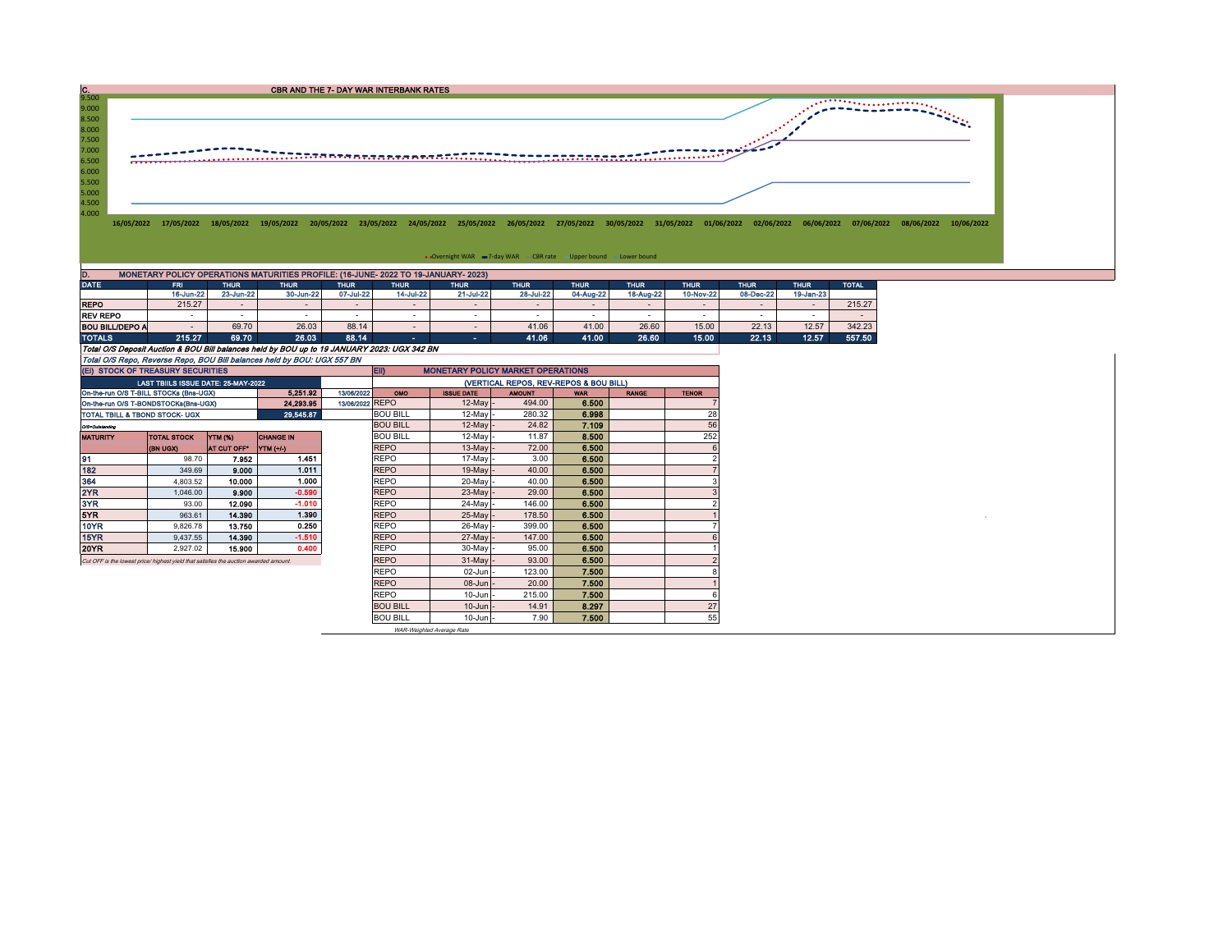| $\frac{C}{9.500}$       |                                                                                    |             |             | CBR AND THE 7- DAY WAR INTERBANK RATES |             |             |                                                                   |             |             |             |             |             |                         |                                                                                                                                                                                                                  |  |
|-------------------------|------------------------------------------------------------------------------------|-------------|-------------|----------------------------------------|-------------|-------------|-------------------------------------------------------------------|-------------|-------------|-------------|-------------|-------------|-------------------------|------------------------------------------------------------------------------------------------------------------------------------------------------------------------------------------------------------------|--|
| 9.000<br>8.500<br>8.000 |                                                                                    |             |             |                                        |             |             |                                                                   |             |             |             |             |             | *********************** |                                                                                                                                                                                                                  |  |
| 7.500<br>7.000<br>6.500 |                                                                                    |             |             |                                        |             |             |                                                                   |             |             |             |             |             |                         |                                                                                                                                                                                                                  |  |
| 6.000<br>5.500<br>5.000 |                                                                                    |             |             |                                        |             |             |                                                                   |             |             |             |             |             |                         |                                                                                                                                                                                                                  |  |
| 4.500<br>4.000          |                                                                                    |             |             |                                        |             |             |                                                                   |             |             |             |             |             |                         | 16/05/2022 17/05/2022 18/05/2022 19/05/2022 20/05/2022 23/05/2022 24/05/2022 25/05/2022 26/05/2022 27/05/2022 30/05/2022 31/05/2022 01/06/2022 02/06/2022 06/06/2022 07/06/2022 08/06/2022 10/06/2022 10/06/2022 |  |
|                         |                                                                                    |             |             |                                        |             |             | • Overnight WAR -7-day WAR - CBR rate - Upper bound - Lower bound |             |             |             |             |             |                         |                                                                                                                                                                                                                  |  |
| D.                      | MONETARY POLICY OPERATIONS MATURITIES PROFILE: (16-JUNE- 2022 TO 19-JANUARY- 2023) |             |             |                                        |             |             |                                                                   |             |             |             |             |             |                         |                                                                                                                                                                                                                  |  |
| <b>DATE</b>             | <b>FRI</b>                                                                         | <b>THUR</b> | <b>THUR</b> | <b>THUR</b>                            | <b>THUR</b> | <b>THUR</b> | <b>THUR</b>                                                       | <b>THUR</b> | <b>THUR</b> | <b>THUR</b> | <b>THUR</b> | <b>THUR</b> | <b>TOTAL</b>            |                                                                                                                                                                                                                  |  |

|                                                                                             | 16-Jun-22                | 23-Jun-22                | 30-Jun-22 | 07-Jul-22 | 14-Jul-22   | 21-Jul-22                | 28-Jul-22 | 04-Aug-22 | 18-Aug-22 | 10-Nov-22 | 08-Dec-22                | 19-Jan-23 |        |
|---------------------------------------------------------------------------------------------|--------------------------|--------------------------|-----------|-----------|-------------|--------------------------|-----------|-----------|-----------|-----------|--------------------------|-----------|--------|
| <b>REPO</b>                                                                                 | 215.27                   | $\overline{\phantom{0}}$ |           |           |             | $\overline{\phantom{a}}$ | $\sim$    |           |           |           | $\overline{\phantom{a}}$ |           | 215.27 |
| <b>REV REPO</b>                                                                             |                          |                          |           |           |             | $\overline{\phantom{a}}$ |           |           |           |           | $\overline{\phantom{a}}$ |           |        |
| <b>BOU BILL/DEPO A</b>                                                                      | $\overline{\phantom{0}}$ | 69.70                    | 26.03     | 88.14     |             |                          | 41.06     | 41.00     | 26.60     | 15.00     | 22.13                    | 12.57     | 342.23 |
| <b>TOTALS</b>                                                                               | 215.27                   | 69.70                    | 26.03     | 88.14     | <b>1999</b> | . .                      | 41.06     | 41.00     | 26.60     | 15.00     | 22.13                    | 12.57     | 557.50 |
| Total O/S Deposit Auction & BOU Bill balances held by BOU up to 19 JANUARY 2023: UGX 342 BN |                          |                          |           |           |             |                          |           |           |           |           |                          |           |        |
| Total O/S Repo, Reverse Repo, BOU Bill balances held by BOU: UGX 557 BN                     |                          |                          |           |           |             |                          |           |           |           |           |                          |           |        |

| (EI) STOCK OF TREASURY SECURITIES                                                     |                                     |                    |                  |                 | EII)<br><b>MONETARY POLICY MARKET OPERATIONS</b> |                   |               |            |              |              |  |  |  |
|---------------------------------------------------------------------------------------|-------------------------------------|--------------------|------------------|-----------------|--------------------------------------------------|-------------------|---------------|------------|--------------|--------------|--|--|--|
|                                                                                       | LAST TBIILS ISSUE DATE: 25-MAY-2022 |                    |                  |                 | (VERTICAL REPOS, REV-REPOS & BOU BILL)           |                   |               |            |              |              |  |  |  |
| On-the-run O/S T-BILL STOCKs (Bns-UGX)                                                |                                     |                    | 5.251.92         | 13/06/2022      | <b>OMO</b>                                       | <b>ISSUE DATE</b> | <b>AMOUNT</b> | <b>WAR</b> | <b>RANGE</b> | <b>TENOR</b> |  |  |  |
| On-the-run O/S T-BONDSTOCKs(Bns-UGX)                                                  |                                     |                    | 24.293.95        | 13/06/2022 REPO |                                                  | $12$ -May -       | 494.00        | 6.500      |              |              |  |  |  |
| TOTAL TBILL & TBOND STOCK- UGX                                                        |                                     |                    | 29,545.87        |                 | <b>BOU BILL</b>                                  | $12$ -May         | 280.32        | 6.998      |              | 28           |  |  |  |
| 0/3=Outstanding                                                                       |                                     |                    |                  |                 | <b>BOU BILL</b>                                  | $12$ -May -       | 24.82         | 7.109      |              | 56           |  |  |  |
| <b>MATURITY</b>                                                                       | <b>TOTAL STOCK</b>                  | YTM (%)            | <b>CHANGE IN</b> |                 | <b>BOU BILL</b>                                  | 12-May -          | 11.87         | 8.500      |              | 252          |  |  |  |
|                                                                                       | <b>CKDU HB)</b>                     | <b>AT CUT OFF*</b> | YTM (+/-)        |                 | <b>REPO</b>                                      | $13$ -May $-$     | 72.00         | 6,500      |              |              |  |  |  |
| 91                                                                                    | 98.70                               | 7.952              | 1.451            |                 | <b>REPO</b>                                      | 17-May -          | 3.00          | 6.500      |              |              |  |  |  |
| 182                                                                                   | 349.69                              | 9.000              | 1.011            |                 | <b>REPO</b>                                      | $19$ -May -       | 40.00         | 6.500      |              |              |  |  |  |
| 364                                                                                   | 4.803.52                            | 10.000             | 1.000            |                 | <b>REPO</b>                                      | 20-Mayl-          | 40.00         | 6.500      |              |              |  |  |  |
| 2YR                                                                                   | 1.046.00                            | 9.900              | $-0.590$         |                 | <b>REPO</b>                                      | $23$ -May -       | 29.00         | 6.500      |              |              |  |  |  |
| 3YR                                                                                   | 93.00                               | 12.090             | $-1.010$         |                 | <b>REPO</b>                                      | 24-May -          | 146.00        | 6.500      |              |              |  |  |  |
| 5YR.                                                                                  | 963.61                              | 14,390             | 1.390            |                 | <b>REPO</b>                                      | $25$ -May -       | 178.50        | 6.500      |              |              |  |  |  |
| 10YR                                                                                  | 9,826.78                            | 13.750             | 0.250            |                 | <b>REPO</b>                                      | 26-May -          | 399.00        | 6.500      |              |              |  |  |  |
| 15YR                                                                                  | 9.437.55                            | 14,390             | $-1.510$         |                 | <b>REPO</b>                                      | 27-May -          | 147.00        | 6.500      |              |              |  |  |  |
| 20YR                                                                                  | 2.927.02                            | 15,900             | 0.400            |                 | <b>REPO</b>                                      | 30-May -          | 95.00         | 6.500      |              |              |  |  |  |
| Cut OFF is the lowest price/ highest yield that satisfies the auction awarded amount. |                                     |                    |                  |                 | <b>REPO</b>                                      | $31$ -May -       | 93.00         | 6.500      |              |              |  |  |  |
|                                                                                       |                                     |                    |                  |                 | <b>REPO</b>                                      | $02$ -Jun $-$     | 123.00        | 7.500      |              |              |  |  |  |
|                                                                                       |                                     |                    |                  |                 | <b>REPO</b>                                      | 08-Jun -          | 20.00         | 7.500      |              |              |  |  |  |
|                                                                                       |                                     |                    |                  |                 | <b>REPO</b>                                      | $10$ -Jun $-$     | 215.00        | 7.500      |              |              |  |  |  |
|                                                                                       |                                     |                    |                  |                 | <b>BOU BILL</b>                                  | $10$ -Jun $-$     | 14.91         | 8.297      |              | 27           |  |  |  |
|                                                                                       |                                     |                    |                  |                 | <b>BOU BILL</b>                                  | $10$ -Jun $-$     | 7.90          | 7.500      |              | 55           |  |  |  |

WAR-Weighted Average Rate